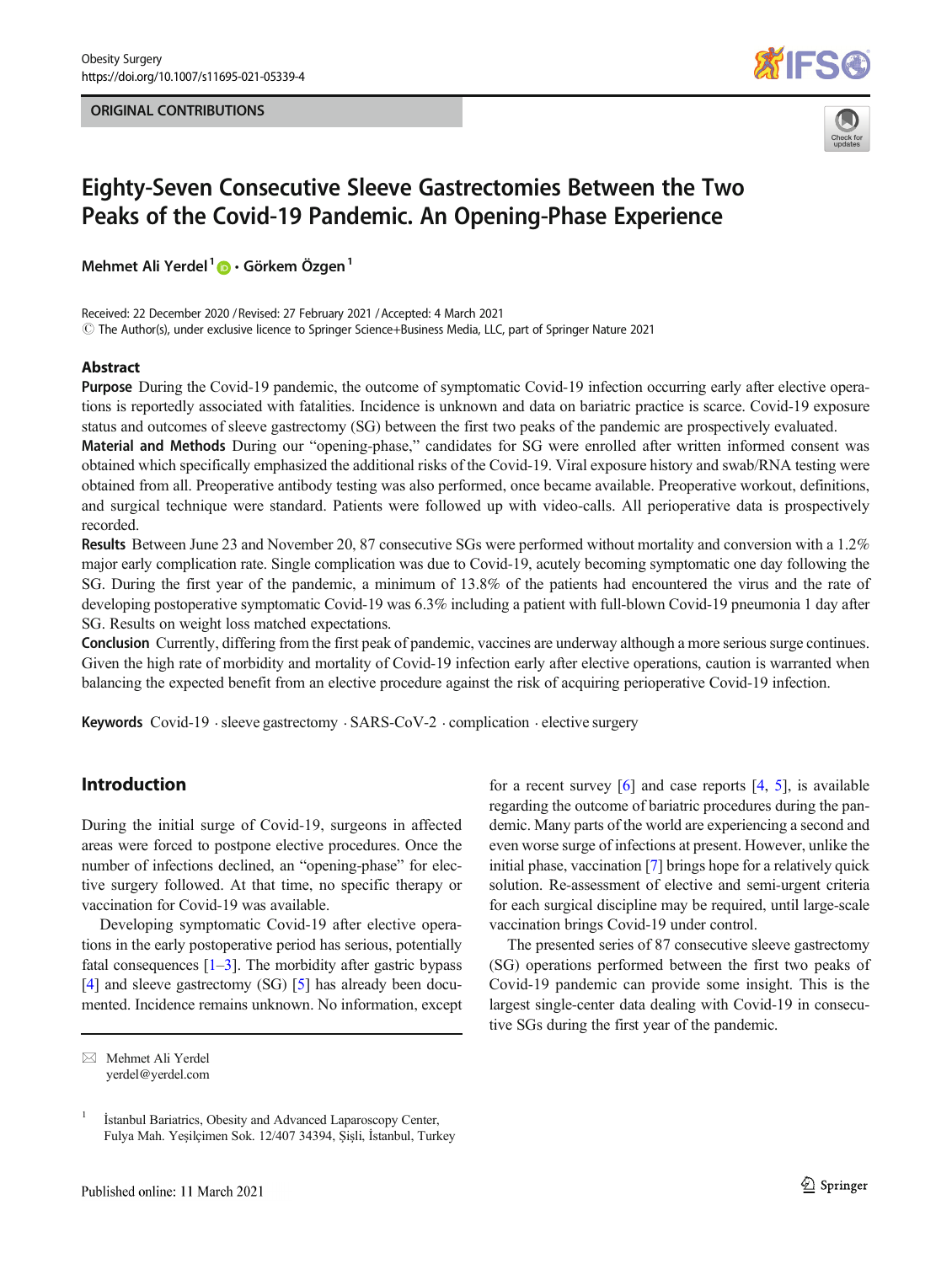#### ORIGINAL CONTRIBUTIONS





# Eighty-Seven Consecutive Sleeve Gastrectomies Between the Two Peaks of the Covid-19 Pandemic. An Opening-Phase Experience

Mehmet Ali Yerdel<sup>1</sup>  $\bullet$  · Görkem Özgen<sup>1</sup>

Received: 22 December 2020 / Revised: 27 February 2021 /Accepted: 4 March 2021  $\odot$  The Author(s), under exclusive licence to Springer Science+Business Media, LLC, part of Springer Nature 2021

#### Abstract

Purpose During the Covid-19 pandemic, the outcome of symptomatic Covid-19 infection occurring early after elective operations is reportedly associated with fatalities. Incidence is unknown and data on bariatric practice is scarce. Covid-19 exposure status and outcomes of sleeve gastrectomy (SG) between the first two peaks of the pandemic are prospectively evaluated.

Material and Methods During our "opening-phase," candidates for SG were enrolled after written informed consent was obtained which specifically emphasized the additional risks of the Covid-19. Viral exposure history and swab/RNA testing were obtained from all. Preoperative antibody testing was also performed, once became available. Preoperative workout, definitions, and surgical technique were standard. Patients were followed up with video-calls. All perioperative data is prospectively recorded.

Results Between June 23 and November 20, 87 consecutive SGs were performed without mortality and conversion with a 1.2% major early complication rate. Single complication was due to Covid-19, acutely becoming symptomatic one day following the SG. During the first year of the pandemic, a minimum of 13.8% of the patients had encountered the virus and the rate of developing postoperative symptomatic Covid-19 was 6.3% including a patient with full-blown Covid-19 pneumonia 1 day after SG. Results on weight loss matched expectations.

Conclusion Currently, differing from the first peak of pandemic, vaccines are underway although a more serious surge continues. Given the high rate of morbidity and mortality of Covid-19 infection early after elective operations, caution is warranted when balancing the expected benefit from an elective procedure against the risk of acquiring perioperative Covid-19 infection.

Keywords Covid-19 · sleeve gastrectomy · SARS-CoV-2 · complication · elective surgery

## Introduction

During the initial surge of Covid-19, surgeons in affected areas were forced to postpone elective procedures. Once the number of infections declined, an "opening-phase" for elective surgery followed. At that time, no specific therapy or vaccination for Covid-19 was available.

Developing symptomatic Covid-19 after elective operations in the early postoperative period has serious, potentially fatal consequences  $[1-3]$  $[1-3]$  $[1-3]$  $[1-3]$  $[1-3]$ . The morbidity after gastric bypass [\[4](#page-4-0)] and sleeve gastrectomy (SG) [\[5\]](#page-4-0) has already been documented. Incidence remains unknown. No information, except

for a recent survey  $\lceil 6 \rceil$  $\lceil 6 \rceil$  $\lceil 6 \rceil$  and case reports  $\lceil 4, 5 \rceil$  $\lceil 4, 5 \rceil$  $\lceil 4, 5 \rceil$ , is available regarding the outcome of bariatric procedures during the pandemic. Many parts of the world are experiencing a second and even worse surge of infections at present. However, unlike the initial phase, vaccination [[7\]](#page-4-0) brings hope for a relatively quick solution. Re-assessment of elective and semi-urgent criteria for each surgical discipline may be required, until large-scale vaccination brings Covid-19 under control.

The presented series of 87 consecutive sleeve gastrectomy (SG) operations performed between the first two peaks of Covid-19 pandemic can provide some insight. This is the largest single-center data dealing with Covid-19 in consecutive SGs during the first year of the pandemic.

 $\boxtimes$  Mehmet Ali Yerdel [yerdel@yerdel.com](mailto:yerdel@yerdel.com)

<sup>&</sup>lt;sup>1</sup> İstanbul Bariatrics, Obesity and Advanced Laparoscopy Center, Fulya Mah. Yeşilçimen Sok. 12/407 34394, Şişli, İstanbul, Turkey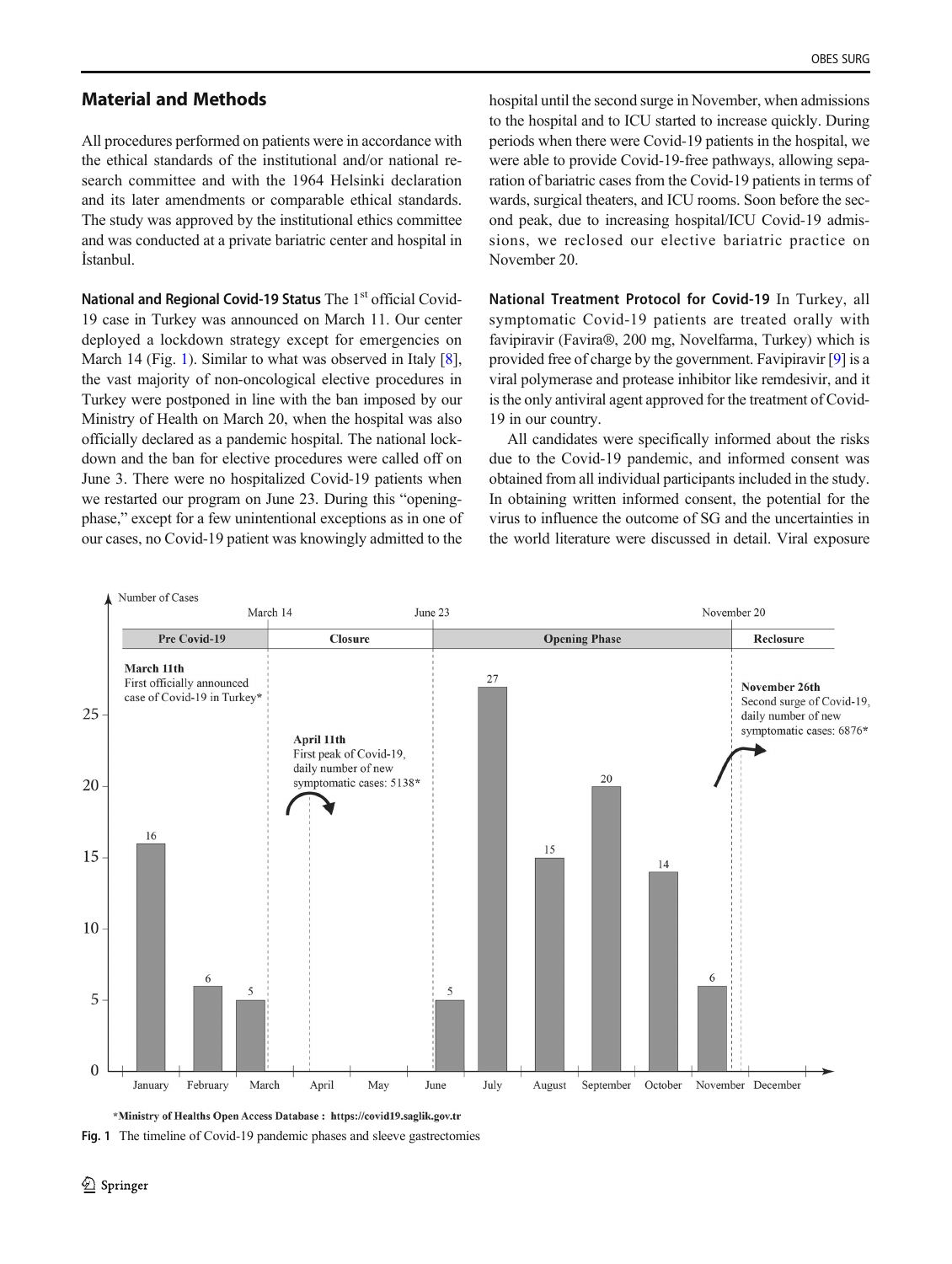## <span id="page-1-0"></span>Material and Methods

All procedures performed on patients were in accordance with the ethical standards of the institutional and/or national research committee and with the 1964 Helsinki declaration and its later amendments or comparable ethical standards. The study was approved by the institutional ethics committee and was conducted at a private bariatric center and hospital in İstanbul.

National and Regional Covid-19 Status The 1<sup>st</sup> official Covid-19 case in Turkey was announced on March 11. Our center deployed a lockdown strategy except for emergencies on March 14 (Fig. 1). Similar to what was observed in Italy [[8\]](#page-4-0), the vast majority of non-oncological elective procedures in Turkey were postponed in line with the ban imposed by our Ministry of Health on March 20, when the hospital was also officially declared as a pandemic hospital. The national lockdown and the ban for elective procedures were called off on June 3. There were no hospitalized Covid-19 patients when we restarted our program on June 23. During this "openingphase," except for a few unintentional exceptions as in one of our cases, no Covid-19 patient was knowingly admitted to the

hospital until the second surge in November, when admissions to the hospital and to ICU started to increase quickly. During periods when there were Covid-19 patients in the hospital, we were able to provide Covid-19-free pathways, allowing separation of bariatric cases from the Covid-19 patients in terms of wards, surgical theaters, and ICU rooms. Soon before the second peak, due to increasing hospital/ICU Covid-19 admissions, we reclosed our elective bariatric practice on November 20.

National Treatment Protocol for Covid-19 In Turkey, all symptomatic Covid-19 patients are treated orally with favipiravir (Favira®, 200 mg, Novelfarma, Turkey) which is provided free of charge by the government. Favipiravir [\[9](#page-4-0)] is a viral polymerase and protease inhibitor like remdesivir, and it is the only antiviral agent approved for the treatment of Covid-19 in our country.

All candidates were specifically informed about the risks due to the Covid-19 pandemic, and informed consent was obtained from all individual participants included in the study. In obtaining written informed consent, the potential for the virus to influence the outcome of SG and the uncertainties in the world literature were discussed in detail. Viral exposure



\*Ministry of Healths Open Access Database: https://covid19.saglik.gov.tr

Fig. 1 The timeline of Covid-19 pandemic phases and sleeve gastrectomies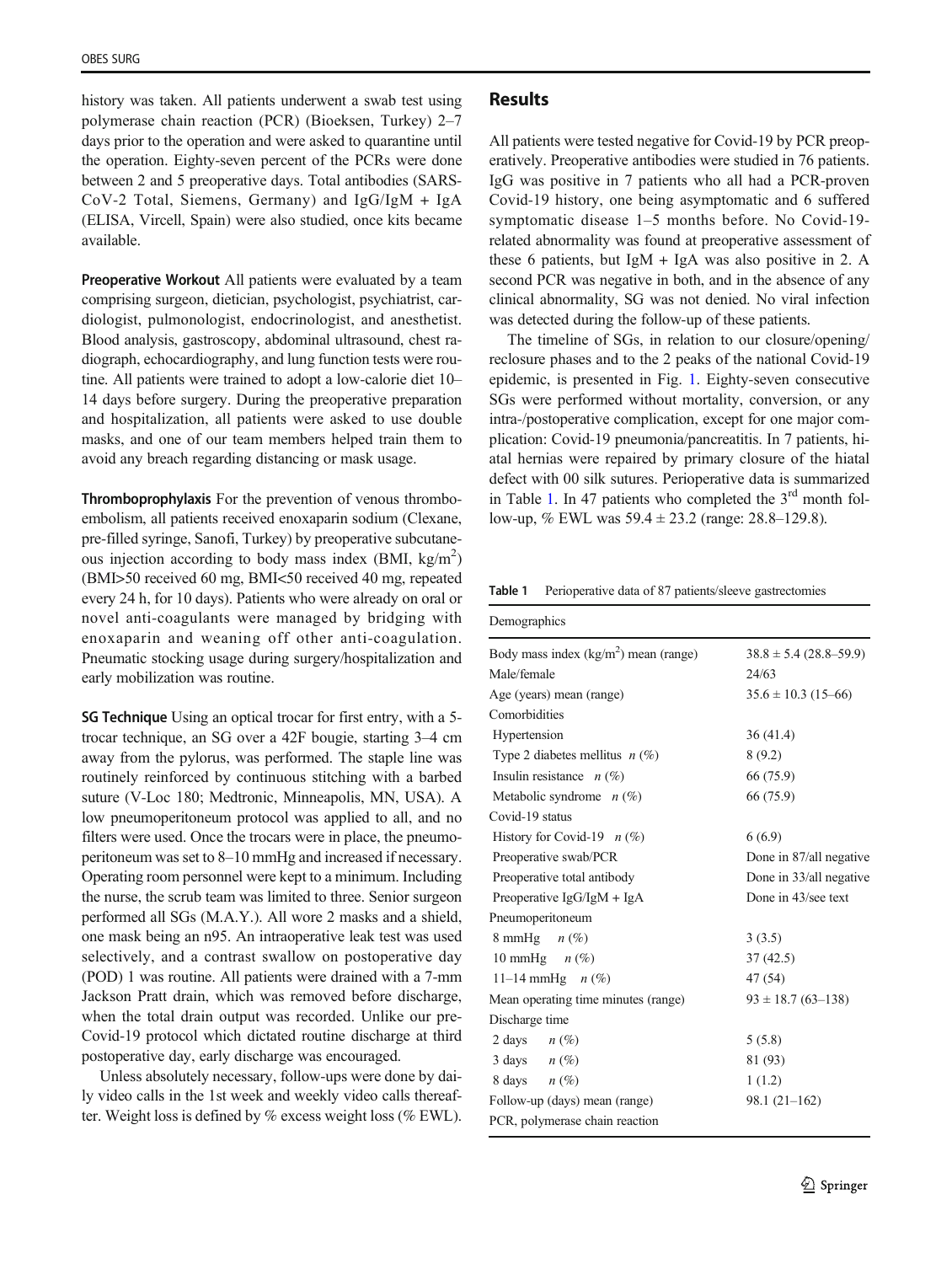history was taken. All patients underwent a swab test using polymerase chain reaction (PCR) (Bioeksen, Turkey) 2–7 days prior to the operation and were asked to quarantine until the operation. Eighty-seven percent of the PCRs were done between 2 and 5 preoperative days. Total antibodies (SARS-CoV-2 Total, Siemens, Germany) and IgG/IgM + IgA (ELISA, Vircell, Spain) were also studied, once kits became available.

Preoperative Workout All patients were evaluated by a team comprising surgeon, dietician, psychologist, psychiatrist, cardiologist, pulmonologist, endocrinologist, and anesthetist. Blood analysis, gastroscopy, abdominal ultrasound, chest radiograph, echocardiography, and lung function tests were routine. All patients were trained to adopt a low-calorie diet 10– 14 days before surgery. During the preoperative preparation and hospitalization, all patients were asked to use double masks, and one of our team members helped train them to avoid any breach regarding distancing or mask usage.

Thromboprophylaxis For the prevention of venous thromboembolism, all patients received enoxaparin sodium (Clexane, pre-filled syringe, Sanofi, Turkey) by preoperative subcutaneous injection according to body mass index (BMI,  $\text{kg/m}^2$ ) (BMI>50 received 60 mg, BMI<50 received 40 mg, repeated every 24 h, for 10 days). Patients who were already on oral or novel anti-coagulants were managed by bridging with enoxaparin and weaning off other anti-coagulation. Pneumatic stocking usage during surgery/hospitalization and early mobilization was routine.

SG Technique Using an optical trocar for first entry, with a 5 trocar technique, an SG over a 42F bougie, starting 3–4 cm away from the pylorus, was performed. The staple line was routinely reinforced by continuous stitching with a barbed suture (V-Loc 180; Medtronic, Minneapolis, MN, USA). A low pneumoperitoneum protocol was applied to all, and no filters were used. Once the trocars were in place, the pneumoperitoneum was set to 8–10 mmHg and increased if necessary. Operating room personnel were kept to a minimum. Including the nurse, the scrub team was limited to three. Senior surgeon performed all SGs (M.A.Y.). All wore 2 masks and a shield, one mask being an n95. An intraoperative leak test was used selectively, and a contrast swallow on postoperative day (POD) 1 was routine. All patients were drained with a 7-mm Jackson Pratt drain, which was removed before discharge, when the total drain output was recorded. Unlike our pre-Covid-19 protocol which dictated routine discharge at third postoperative day, early discharge was encouraged.

Unless absolutely necessary, follow-ups were done by daily video calls in the 1st week and weekly video calls thereafter. Weight loss is defined by % excess weight loss (% EWL).

## **Results**

All patients were tested negative for Covid-19 by PCR preoperatively. Preoperative antibodies were studied in 76 patients. IgG was positive in 7 patients who all had a PCR-proven Covid-19 history, one being asymptomatic and 6 suffered symptomatic disease 1–5 months before. No Covid-19 related abnormality was found at preoperative assessment of these 6 patients, but IgM + IgA was also positive in 2. A second PCR was negative in both, and in the absence of any clinical abnormality, SG was not denied. No viral infection was detected during the follow-up of these patients.

The timeline of SGs, in relation to our closure/opening/ reclosure phases and to the 2 peaks of the national Covid-19 epidemic, is presented in Fig. [1.](#page-1-0) Eighty-seven consecutive SGs were performed without mortality, conversion, or any intra-/postoperative complication, except for one major complication: Covid-19 pneumonia/pancreatitis. In 7 patients, hiatal hernias were repaired by primary closure of the hiatal defect with 00 silk sutures. Perioperative data is summarized in Table 1. In 47 patients who completed the  $3<sup>rd</sup>$  month follow-up, % EWL was 59.4 ± 23.2 (range: 28.8–129.8).

Table 1 Perioperative data of 87 patients/sleeve gastrectomies

| Demographics                           |                            |
|----------------------------------------|----------------------------|
| Body mass index $(kg/m2)$ mean (range) | $38.8 \pm 5.4$ (28.8–59.9) |
| Male/female                            | 24/63                      |
| Age (years) mean (range)               | $35.6 \pm 10.3$ (15-66)    |
| Comorbidities                          |                            |
| Hypertension                           | 36(41.4)                   |
| Type 2 diabetes mellitus $n$ (%)       | 8(9.2)                     |
| Insulin resistance $n(\%)$             | 66 (75.9)                  |
| Metabolic syndrome $n(\%)$             | 66 (75.9)                  |
| Covid-19 status                        |                            |
| History for Covid-19 $n$ (%)           | 6(6.9)                     |
| Preoperative swab/PCR                  | Done in 87/all negative    |
| Preoperative total antibody            | Done in 33/all negative    |
| Preoperative $\lg G / \lg M + \lg A$   | Done in 43/see text        |
| Pneumoperitoneum                       |                            |
| 8 mmHg $n$ (%)                         | 3(3.5)                     |
| 10 mmHg $n$ (%)                        | 37(42.5)                   |
| 11–14 mmHg $n$ (%)                     | 47 (54)                    |
| Mean operating time minutes (range)    | $93 \pm 18.7$ (63-138)     |
| Discharge time                         |                            |
| 2 days<br>$n(\%)$                      | 5(5.8)                     |
| 3 days $n(\%)$                         | 81 (93)                    |
| 8 days $n(\%)$                         | 1(1.2)                     |
| Follow-up (days) mean (range)          | $98.1(21-162)$             |
| PCR, polymerase chain reaction         |                            |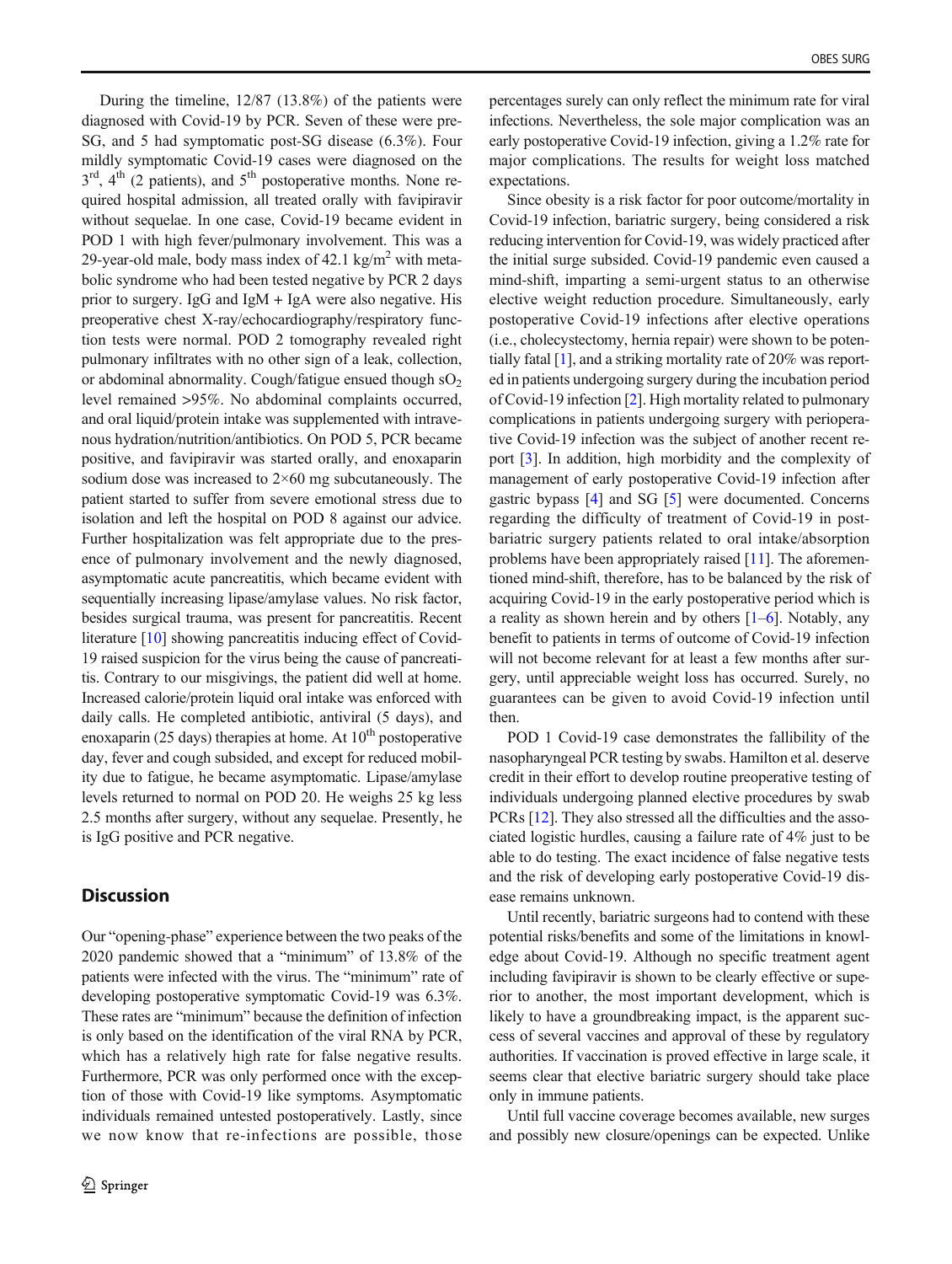During the timeline, 12/87 (13.8%) of the patients were diagnosed with Covid-19 by PCR. Seven of these were pre-SG, and 5 had symptomatic post-SG disease (6.3%). Four mildly symptomatic Covid-19 cases were diagnosed on the  $3<sup>rd</sup>$ ,  $4<sup>th</sup>$  (2 patients), and  $5<sup>th</sup>$  postoperative months. None required hospital admission, all treated orally with favipiravir without sequelae. In one case, Covid-19 became evident in POD 1 with high fever/pulmonary involvement. This was a 29-year-old male, body mass index of  $42.1 \text{ kg/m}^2$  with metabolic syndrome who had been tested negative by PCR 2 days prior to surgery. IgG and IgM + IgA were also negative. His preoperative chest X-ray/echocardiography/respiratory function tests were normal. POD 2 tomography revealed right pulmonary infiltrates with no other sign of a leak, collection, or abdominal abnormality. Cough/fatigue ensued though  $sO<sub>2</sub>$ level remained >95%. No abdominal complaints occurred, and oral liquid/protein intake was supplemented with intravenous hydration/nutrition/antibiotics. On POD 5, PCR became positive, and favipiravir was started orally, and enoxaparin sodium dose was increased to  $2\times60$  mg subcutaneously. The patient started to suffer from severe emotional stress due to isolation and left the hospital on POD 8 against our advice. Further hospitalization was felt appropriate due to the presence of pulmonary involvement and the newly diagnosed, asymptomatic acute pancreatitis, which became evident with sequentially increasing lipase/amylase values. No risk factor, besides surgical trauma, was present for pancreatitis. Recent literature [\[10](#page-4-0)] showing pancreatitis inducing effect of Covid-19 raised suspicion for the virus being the cause of pancreatitis. Contrary to our misgivings, the patient did well at home. Increased calorie/protein liquid oral intake was enforced with daily calls. He completed antibiotic, antiviral (5 days), and enoxaparin (25 days) therapies at home. At  $10<sup>th</sup>$  postoperative day, fever and cough subsided, and except for reduced mobility due to fatigue, he became asymptomatic. Lipase/amylase levels returned to normal on POD 20. He weighs 25 kg less 2.5 months after surgery, without any sequelae. Presently, he is IgG positive and PCR negative.

### **Discussion**

Our "opening-phase" experience between the two peaks of the 2020 pandemic showed that a "minimum" of 13.8% of the patients were infected with the virus. The "minimum" rate of developing postoperative symptomatic Covid-19 was 6.3%. These rates are "minimum" because the definition of infection is only based on the identification of the viral RNA by PCR, which has a relatively high rate for false negative results. Furthermore, PCR was only performed once with the exception of those with Covid-19 like symptoms. Asymptomatic individuals remained untested postoperatively. Lastly, since we now know that re-infections are possible, those

percentages surely can only reflect the minimum rate for viral infections. Nevertheless, the sole major complication was an early postoperative Covid-19 infection, giving a 1.2% rate for major complications. The results for weight loss matched expectations.

Since obesity is a risk factor for poor outcome/mortality in Covid-19 infection, bariatric surgery, being considered a risk reducing intervention for Covid-19, was widely practiced after the initial surge subsided. Covid-19 pandemic even caused a mind-shift, imparting a semi-urgent status to an otherwise elective weight reduction procedure. Simultaneously, early postoperative Covid-19 infections after elective operations (i.e., cholecystectomy, hernia repair) were shown to be potentially fatal [\[1\]](#page-4-0), and a striking mortality rate of 20% was reported in patients undergoing surgery during the incubation period of Covid-19 infection [[2\]](#page-4-0). High mortality related to pulmonary complications in patients undergoing surgery with perioperative Covid-19 infection was the subject of another recent report [[3](#page-4-0)]. In addition, high morbidity and the complexity of management of early postoperative Covid-19 infection after gastric bypass [\[4](#page-4-0)] and SG [[5](#page-4-0)] were documented. Concerns regarding the difficulty of treatment of Covid-19 in postbariatric surgery patients related to oral intake/absorption problems have been appropriately raised [\[11\]](#page-4-0). The aforementioned mind-shift, therefore, has to be balanced by the risk of acquiring Covid-19 in the early postoperative period which is a reality as shown herein and by others  $[1-6]$  $[1-6]$  $[1-6]$  $[1-6]$  $[1-6]$ . Notably, any benefit to patients in terms of outcome of Covid-19 infection will not become relevant for at least a few months after surgery, until appreciable weight loss has occurred. Surely, no guarantees can be given to avoid Covid-19 infection until then.

POD 1 Covid-19 case demonstrates the fallibility of the nasopharyngeal PCR testing by swabs. Hamilton et al. deserve credit in their effort to develop routine preoperative testing of individuals undergoing planned elective procedures by swab PCRs [[12\]](#page-4-0). They also stressed all the difficulties and the associated logistic hurdles, causing a failure rate of 4% just to be able to do testing. The exact incidence of false negative tests and the risk of developing early postoperative Covid-19 disease remains unknown.

Until recently, bariatric surgeons had to contend with these potential risks/benefits and some of the limitations in knowledge about Covid-19. Although no specific treatment agent including favipiravir is shown to be clearly effective or superior to another, the most important development, which is likely to have a groundbreaking impact, is the apparent success of several vaccines and approval of these by regulatory authorities. If vaccination is proved effective in large scale, it seems clear that elective bariatric surgery should take place only in immune patients.

Until full vaccine coverage becomes available, new surges and possibly new closure/openings can be expected. Unlike